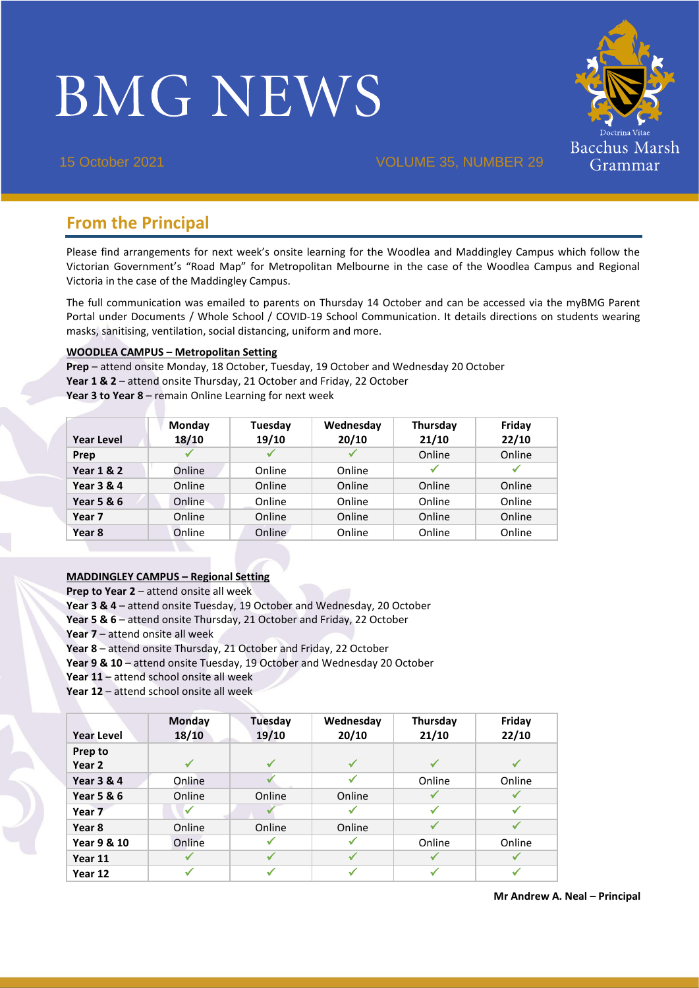# **BMG NEWS**



15 October 2021 VOLUME 35, NUMBER 29

# **From the Principal**

Please find arrangements for next week's onsite learning for the Woodlea and Maddingley Campus which follow the Victorian Government's "Road Map" for Metropolitan Melbourne in the case of the Woodlea Campus and Regional Victoria in the case of the Maddingley Campus.

The full communication was emailed to parents on Thursday 14 October and can be accessed via the myBMG Parent Portal under Documents / Whole School / COVID-19 School Communication. It details directions on students wearing masks, sanitising, ventilation, social distancing, uniform and more.

#### **WOODLEA CAMPUS – Metropolitan Setting**

**Prep** – attend onsite Monday, 18 October, Tuesday, 19 October and Wednesday 20 October **Year 1 & 2** – attend onsite Thursday, 21 October and Friday, 22 October **Year 3 to Year 8** – remain Online Learning for next week

| <b>Year Level</b>     | Monday<br>18/10 | Tuesday<br>19/10 | Wednesday<br>20/10 | Thursday<br>21/10 | Friday<br>22/10 |
|-----------------------|-----------------|------------------|--------------------|-------------------|-----------------|
| Prep                  | ✔               |                  |                    | Online            | Online          |
| <b>Year 1 &amp; 2</b> | Online          | Online           | Online             |                   | ✔               |
| <b>Year 3 &amp; 4</b> | Online          | Online           | Online             | Online            | Online          |
| Year 5 & 6            | Online          | Online           | Online             | Online            | Online          |
| Year 7                | Online          | Online           | Online             | Online            | Online          |
| Year 8                | Online          | Online           | Online             | Online            | Online          |

## **MADDINGLEY CAMPUS – Regional Setting**

**Prep to Year 2** – attend onsite all week

**Year 3 & 4** – attend onsite Tuesday, 19 October and Wednesday, 20 October

- **Year 5 & 6** attend onsite Thursday, 21 October and Friday, 22 October
- **Year 7** attend onsite all week

**Year 8** – attend onsite Thursday, 21 October and Friday, 22 October

**Year 9 & 10** – attend onsite Tuesday, 19 October and Wednesday 20 October

- **Year 11** attend school onsite all week
- **Year 12** attend school onsite all week

|                       | Monday       | Tuesday | Wednesday | Thursday | Friday       |
|-----------------------|--------------|---------|-----------|----------|--------------|
| <b>Year Level</b>     | 18/10        | 19/10   | 20/10     | 21/10    | 22/10        |
| Prep to               |              |         |           |          |              |
| Year 2                | ✓            | ✓       |           |          |              |
| <b>Year 3 &amp; 4</b> | Online       |         |           | Online   | Online       |
| <b>Year 5 &amp; 6</b> | Online       | Online  | Online    |          |              |
| Year 7                | ✔            |         |           |          |              |
| Year 8                | Online       | Online  | Online    |          |              |
| Year 9 & 10           | Online       |         |           | Online   | Online       |
| Year 11               |              | ✔       |           |          |              |
| Year 12               | $\checkmark$ | ✓       |           |          | $\checkmark$ |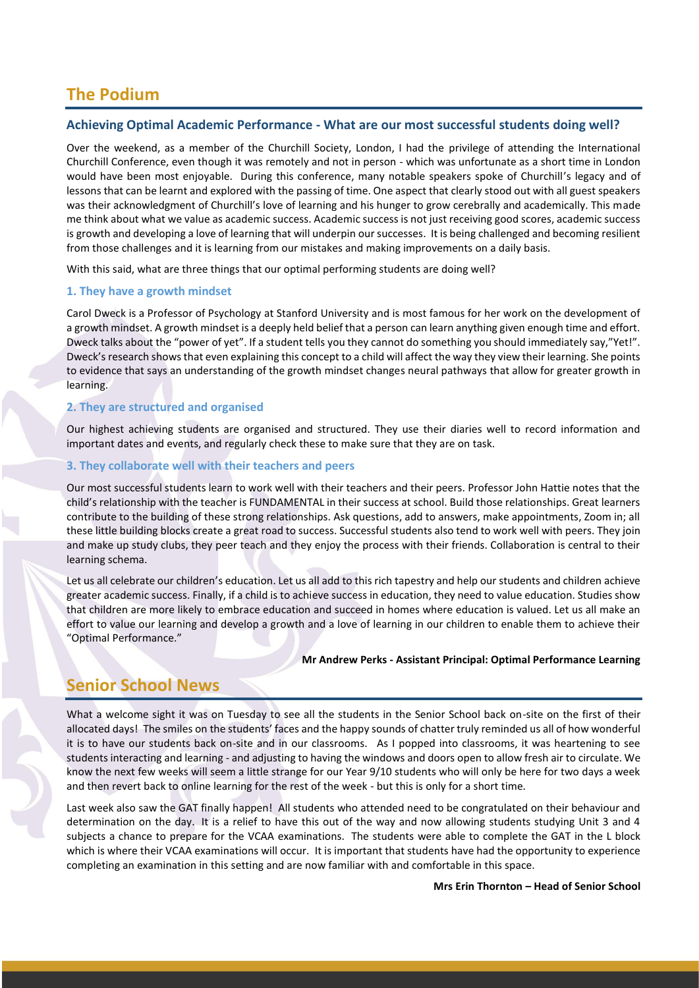# **The Podium**

## **Achieving Optimal Academic Performance - What are our most successful students doing well?**

Over the weekend, as a member of the Churchill Society, London, I had the privilege of attending the International Churchill Conference, even though it was remotely and not in person - which was unfortunate as a short time in London would have been most enjoyable. During this conference, many notable speakers spoke of Churchill's legacy and of lessons that can be learnt and explored with the passing of time. One aspect that clearly stood out with all guest speakers was their acknowledgment of Churchill's love of learning and his hunger to grow cerebrally and academically. This made me think about what we value as academic success. Academic success is not just receiving good scores, academic success is growth and developing a love of learning that will underpin our successes. It is being challenged and becoming resilient from those challenges and it is learning from our mistakes and making improvements on a daily basis.

With this said, what are three things that our optimal performing students are doing well?

#### **1. They have a growth mindset**

Carol Dweck is a Professor of Psychology at Stanford University and is most famous for her work on the development of a growth mindset. A growth mindset is a deeply held belief that a person can learn anything given enough time and effort. Dweck talks about the "power of yet". If a student tells you they cannot do something you should immediately say,"Yet!". Dweck's research shows that even explaining this concept to a child will affect the way they view their learning. She points to evidence that says an understanding of the growth mindset changes neural pathways that allow for greater growth in learning.

#### **2. They are structured and organised**

Our highest achieving students are organised and structured. They use their diaries well to record information and important dates and events, and regularly check these to make sure that they are on task.

#### **3. They collaborate well with their teachers and peers**

Our most successful students learn to work well with their teachers and their peers. Professor John Hattie notes that the child's relationship with the teacher is FUNDAMENTAL in their success at school. Build those relationships. Great learners contribute to the building of these strong relationships. Ask questions, add to answers, make appointments, Zoom in; all these little building blocks create a great road to success. Successful students also tend to work well with peers. They join and make up study clubs, they peer teach and they enjoy the process with their friends. Collaboration is central to their learning schema.

Let us all celebrate our children's education. Let us all add to this rich tapestry and help our students and children achieve greater academic success. Finally, if a child is to achieve success in education, they need to value education. Studies show that children are more likely to embrace education and succeed in homes where education is valued. Let us all make an effort to value our learning and develop a growth and a love of learning in our children to enable them to achieve their "Optimal Performance."

#### **Mr Andrew Perks - Assistant Principal: Optimal Performance Learning**

# **Senior School News**

What a welcome sight it was on Tuesday to see all the students in the Senior School back on-site on the first of their allocated days! The smiles on the students' faces and the happy sounds of chatter truly reminded us all of how wonderful it is to have our students back on-site and in our classrooms. As I popped into classrooms, it was heartening to see students interacting and learning - and adjusting to having the windows and doors open to allow fresh air to circulate. We know the next few weeks will seem a little strange for our Year 9/10 students who will only be here for two days a week and then revert back to online learning for the rest of the week - but this is only for a short time.

Last week also saw the GAT finally happen! All students who attended need to be congratulated on their behaviour and determination on the day. It is a relief to have this out of the way and now allowing students studying Unit 3 and 4 subjects a chance to prepare for the VCAA examinations. The students were able to complete the GAT in the L block which is where their VCAA examinations will occur. It is important that students have had the opportunity to experience completing an examination in this setting and are now familiar with and comfortable in this space.

**Mrs Erin Thornton – Head of Senior School**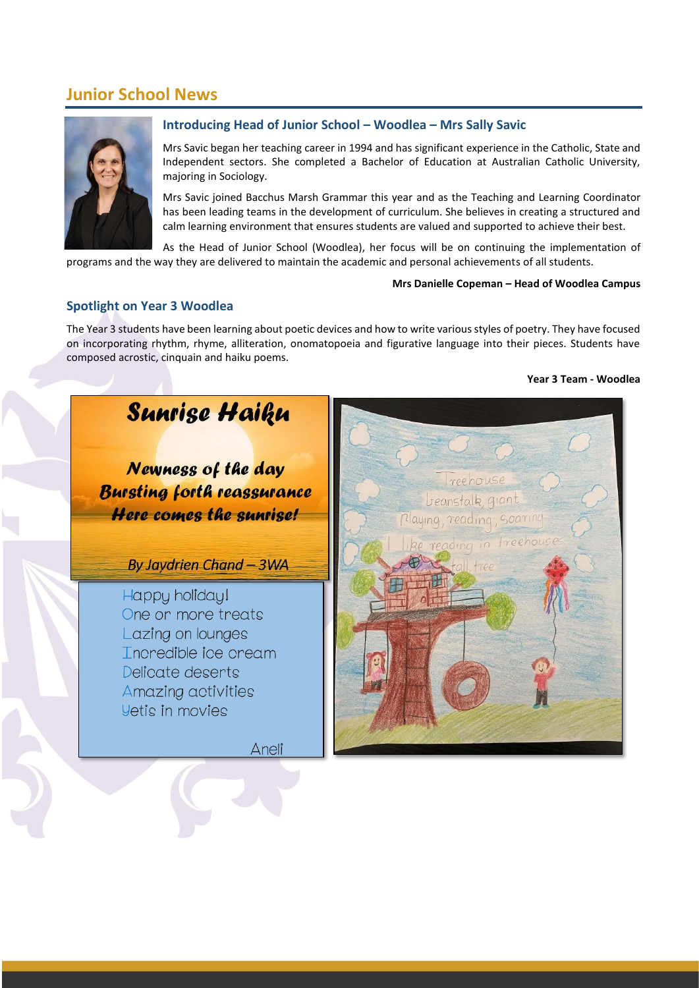# **Junior School News**



## **Introducing Head of Junior School – Woodlea – Mrs Sally Savic**

Mrs Savic began her teaching career in 1994 and has significant experience in the Catholic, State and Independent sectors. She completed a Bachelor of Education at Australian Catholic University, majoring in Sociology.

Mrs Savic joined Bacchus Marsh Grammar this year and as the Teaching and Learning Coordinator has been leading teams in the development of curriculum. She believes in creating a structured and calm learning environment that ensures students are valued and supported to achieve their best.

As the Head of Junior School (Woodlea), her focus will be on continuing the implementation of programs and the way they are delivered to maintain the academic and personal achievements of all students.

#### **Mrs Danielle Copeman – Head of Woodlea Campus**

## **Spotlight on Year 3 Woodlea**

The Year 3 students have been learning about poetic devices and how to write various styles of poetry. They have focused on incorporating rhythm, rhyme, alliteration, onomatopoeia and figurative language into their pieces. Students have composed acrostic, cinquain and haiku poems.

#### **Year 3 Team - Woodlea**



Newness of the day **Bursting forth reassurance Here comes the sunrise!** 

By Jaydrien Chand - 3WA

Happy holiday! One or more treats Lazing on lounges Incredible ice cream Delicate deserts Amazing activities **Vetis in movies** 

reenouse beanstalk 9 playing, reading  $S<sub>0</sub>$ arina

Aneli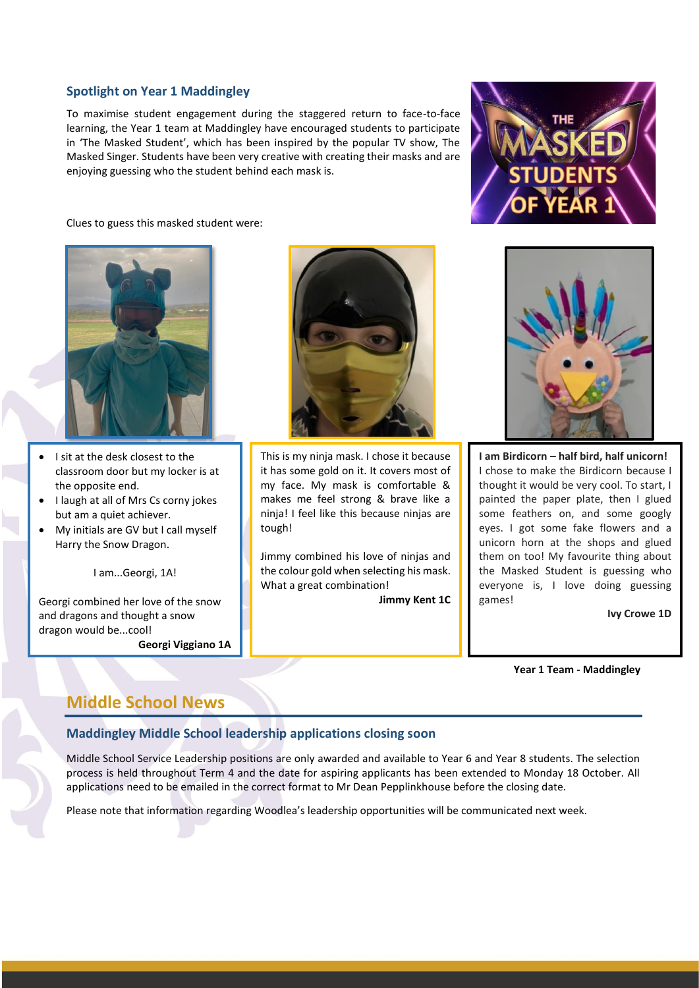## **Spotlight on Year 1 Maddingley**

To maximise student engagement during the staggered return to face-to-face learning, the Year 1 team at Maddingley have encouraged students to participate in 'The Masked Student', which has been inspired by the popular TV show, The Masked Singer. Students have been very creative with creating their masks and are enjoying guessing who the student behind each mask is.





- I sit at the desk closest to the classroom door but my locker is at the opposite end.
- I laugh at all of Mrs Cs corny jokes but am a quiet achiever.
- My initials are GV but I call myself Harry the Snow Dragon.

I am...Georgi, 1A!

Georgi combined her love of the snow and dragons and thought a snow dragon would be...cool!

**Georgi Viggiano 1A**



This is my ninja mask. I chose it because it has some gold on it. It covers most of my face. My mask is comfortable & makes me feel strong & brave like a ninja! I feel like this because ninjas are tough!

Jimmy combined his love of ninjas and the colour gold when selecting his mask. What a great combination!

**Jimmy Kent 1C**





**I am Birdicorn – half bird, half unicorn!** I chose to make the Birdicorn because I thought it would be very cool. To start, I painted the paper plate, then I glued some feathers on, and some googly eyes. I got some fake flowers and a unicorn horn at the shops and glued them on too! My favourite thing about the Masked Student is guessing who everyone is, I love doing guessing games!

**Ivy Crowe 1D**

**Year 1 Team - Maddingley**

# **Middle School News**

## **Maddingley Middle School leadership applications closing soon**

Middle School Service Leadership positions are only awarded and available to Year 6 and Year 8 students. The selection process is held throughout Term 4 and the date for aspiring applicants has been extended to Monday 18 October. All applications need to be emailed in the correct format to Mr Dean Pepplinkhouse before the closing date.

Please note that information regarding Woodlea's leadership opportunities will be communicated next week.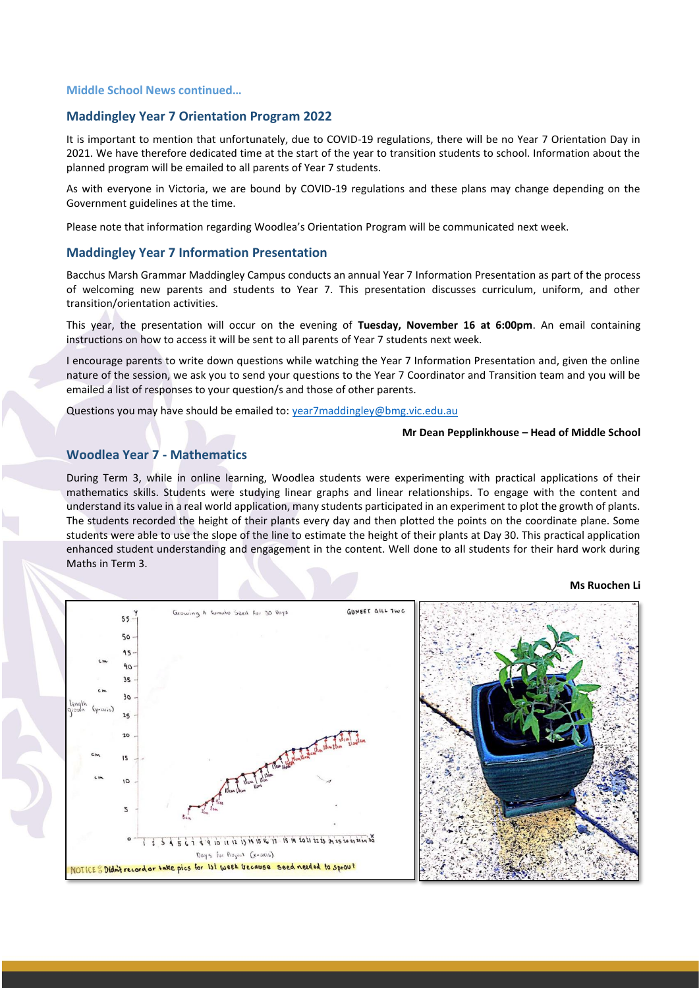#### **Middle School News continued…**

#### **Maddingley Year 7 Orientation Program 2022**

It is important to mention that unfortunately, due to COVID-19 regulations, there will be no Year 7 Orientation Day in 2021. We have therefore dedicated time at the start of the year to transition students to school. Information about the planned program will be emailed to all parents of Year 7 students.

As with everyone in Victoria, we are bound by COVID-19 regulations and these plans may change depending on the Government guidelines at the time.

Please note that information regarding Woodlea's Orientation Program will be communicated next week.

#### **Maddingley Year 7 Information Presentation**

Bacchus Marsh Grammar Maddingley Campus conducts an annual Year 7 Information Presentation as part of the process of welcoming new parents and students to Year 7. This presentation discusses curriculum, uniform, and other transition/orientation activities.

This year, the presentation will occur on the evening of **Tuesday, November 16 at 6:00pm**. An email containing instructions on how to access it will be sent to all parents of Year 7 students next week.

I encourage parents to write down questions while watching the Year 7 Information Presentation and, given the online nature of the session, we ask you to send your questions to the Year 7 Coordinator and Transition team and you will be emailed a list of responses to your question/s and those of other parents.

Questions you may have should be emailed to: [year7maddingley@bmg.vic.edu.au](mailto:year7maddingley@bmg.vic.edu.au)

#### **Mr Dean Pepplinkhouse – Head of Middle School**

## **Woodlea Year 7 - Mathematics**

During Term 3, while in online learning, Woodlea students were experimenting with practical applications of their mathematics skills. Students were studying linear graphs and linear relationships. To engage with the content and understand its value in a real world application, many students participated in an experiment to plot the growth of plants. The students recorded the height of their plants every day and then plotted the points on the coordinate plane. Some students were able to use the slope of the line to estimate the height of their plants at Day 30. This practical application enhanced student understanding and engagement in the content. Well done to all students for their hard work during Maths in Term 3.

**Ms Ruochen Li**

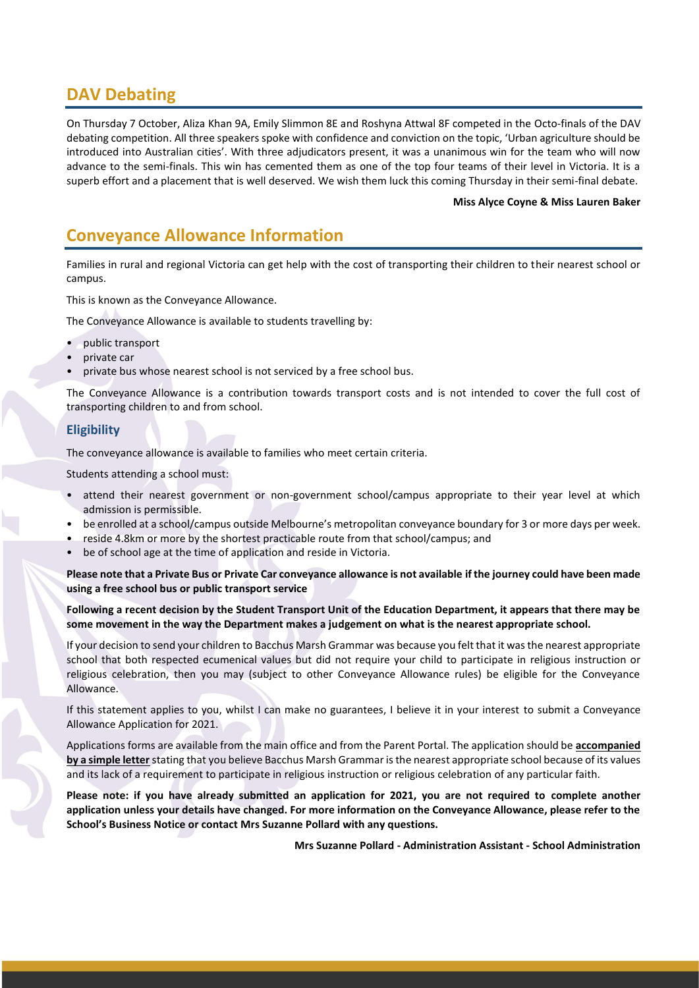# **DAV Debating**

On Thursday 7 October, Aliza Khan 9A, Emily Slimmon 8E and Roshyna Attwal 8F competed in the Octo-finals of the DAV debating competition. All three speakers spoke with confidence and conviction on the topic, 'Urban agriculture should be introduced into Australian cities'. With three adjudicators present, it was a unanimous win for the team who will now advance to the semi-finals. This win has cemented them as one of the top four teams of their level in Victoria. It is a superb effort and a placement that is well deserved. We wish them luck this coming Thursday in their semi-final debate.

#### **Miss Alyce Coyne & Miss Lauren Baker**

# **Conveyance Allowance Information**

Families in rural and regional Victoria can get help with the cost of transporting their children to their nearest school or campus.

This is known as the Conveyance Allowance.

The Conveyance Allowance is available to students travelling by:

- public transport
- private car
- private bus whose nearest school is not serviced by a free school bus.

The Conveyance Allowance is a contribution towards transport costs and is not intended to cover the full cost of transporting children to and from school.

## **Eligibility**

The conveyance allowance is available to families who meet certain criteria.

Students attending a school must:

- attend their nearest government or non-government school/campus appropriate to their year level at which admission is permissible.
- be enrolled at a school/campus outside Melbourne's metropolitan conveyance boundary for 3 or more days per week.
- reside 4.8km or more by the shortest practicable route from that school/campus; and
- be of school age at the time of application and reside in Victoria.

**Please note that a Private Bus or Private Car conveyance allowance is not available if the journey could have been made using a free school bus or public transport service** 

#### **Following a recent decision by the Student Transport Unit of the Education Department, it appears that there may be some movement in the way the Department makes a judgement on what is the nearest appropriate school.**

If your decision to send your children to Bacchus Marsh Grammar was because you felt that it was the nearest appropriate school that both respected ecumenical values but did not require your child to participate in religious instruction or religious celebration, then you may (subject to other Conveyance Allowance rules) be eligible for the Conveyance Allowance.

If this statement applies to you, whilst I can make no guarantees, I believe it in your interest to submit a Conveyance Allowance Application for 2021.

Applications forms are available from the main office and from the Parent Portal. The application should be **accompanied by a simple letter** stating that you believe Bacchus Marsh Grammar is the nearest appropriate school because of its values and its lack of a requirement to participate in religious instruction or religious celebration of any particular faith.

**Please note: if you have already submitted an application for 2021, you are not required to complete another application unless your details have changed. For more information on the Conveyance Allowance, please refer to the School's Business Notice or contact Mrs Suzanne Pollard with any questions.**

**Mrs Suzanne Pollard - Administration Assistant - School Administration**